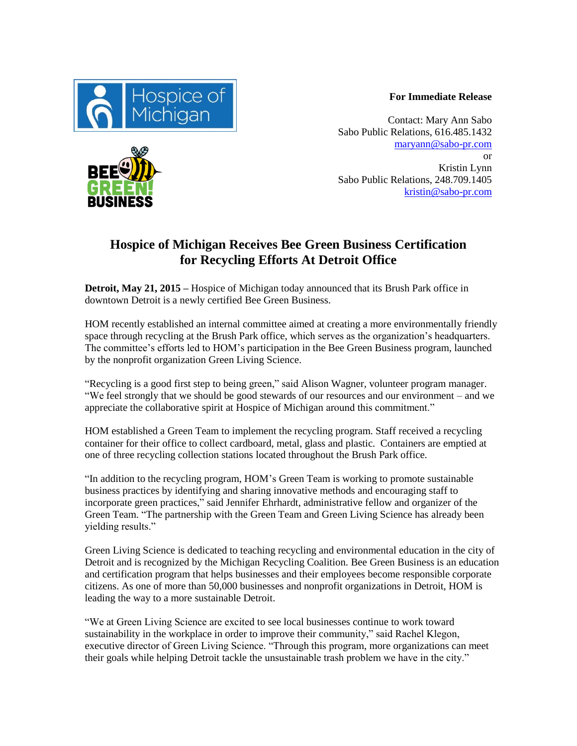

**For Immediate Release**

Contact: Mary Ann Sabo Sabo Public Relations, 616.485.1432 [maryann@sabo-pr.com](mailto:maryann@sabo-pr.com) or Kristin Lynn Sabo Public Relations, 248.709.1405 [kristin@sabo-pr.com](mailto:kristin@sabo-pr.com)

## **Hospice of Michigan Receives Bee Green Business Certification for Recycling Efforts At Detroit Office**

**Detroit, May 21, 2015 –** Hospice of Michigan today announced that its Brush Park office in downtown Detroit is a newly certified Bee Green Business.

HOM recently established an internal committee aimed at creating a more environmentally friendly space through recycling at the Brush Park office, which serves as the organization's headquarters. The committee's efforts led to HOM's participation in the Bee Green Business program, launched by the nonprofit organization Green Living Science.

"Recycling is a good first step to being green," said Alison Wagner, volunteer program manager. "We feel strongly that we should be good stewards of our resources and our environment – and we appreciate the collaborative spirit at Hospice of Michigan around this commitment."

HOM established a Green Team to implement the recycling program. Staff received a recycling container for their office to collect cardboard, metal, glass and plastic. Containers are emptied at one of three recycling collection stations located throughout the Brush Park office.

"In addition to the recycling program, HOM's Green Team is working to promote sustainable business practices by identifying and sharing innovative methods and encouraging staff to incorporate green practices," said Jennifer Ehrhardt, administrative fellow and organizer of the Green Team. "The partnership with the Green Team and Green Living Science has already been yielding results."

Green Living Science is dedicated to teaching recycling and environmental education in the city of Detroit and is recognized by the Michigan Recycling Coalition. Bee Green Business is an education and certification program that helps businesses and their employees become responsible corporate citizens. As one of more than 50,000 businesses and nonprofit organizations in Detroit, HOM is leading the way to a more sustainable Detroit.

"We at Green Living Science are excited to see local businesses continue to work toward sustainability in the workplace in order to improve their community," said Rachel Klegon, executive director of Green Living Science. "Through this program, more organizations can meet their goals while helping Detroit tackle the unsustainable trash problem we have in the city."